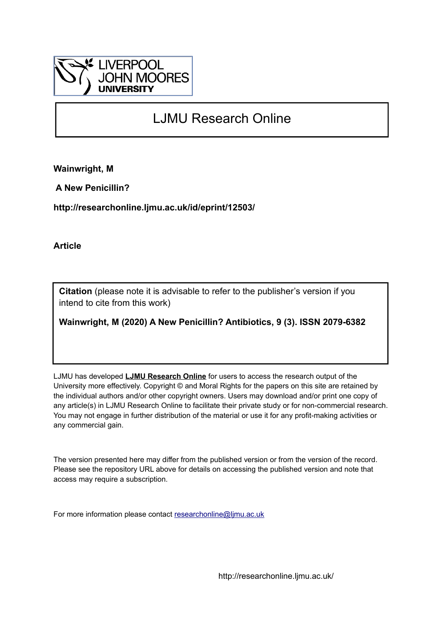

# LJMU Research Online

**Wainwright, M**

 **A New Penicillin?**

**http://researchonline.ljmu.ac.uk/id/eprint/12503/**

**Article**

**Citation** (please note it is advisable to refer to the publisher's version if you intend to cite from this work)

**Wainwright, M (2020) A New Penicillin? Antibiotics, 9 (3). ISSN 2079-6382** 

LJMU has developed **[LJMU Research Online](http://researchonline.ljmu.ac.uk/)** for users to access the research output of the University more effectively. Copyright © and Moral Rights for the papers on this site are retained by the individual authors and/or other copyright owners. Users may download and/or print one copy of any article(s) in LJMU Research Online to facilitate their private study or for non-commercial research. You may not engage in further distribution of the material or use it for any profit-making activities or any commercial gain.

The version presented here may differ from the published version or from the version of the record. Please see the repository URL above for details on accessing the published version and note that access may require a subscription.

For more information please contact [researchonline@ljmu.ac.uk](mailto:researchonline@ljmu.ac.uk)

http://researchonline.ljmu.ac.uk/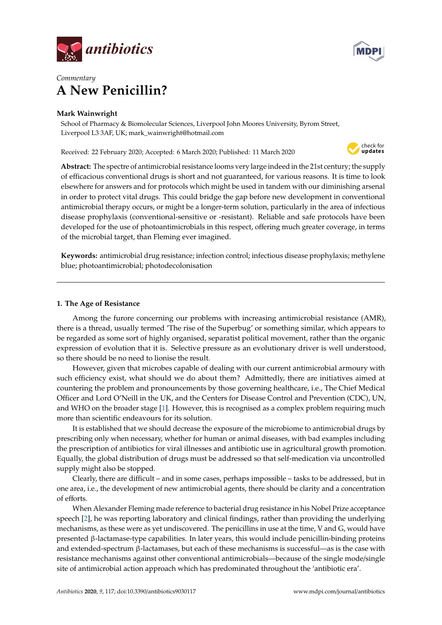



# *Commentary* **A New Penicillin?**

# **Mark Wainwright**

School of Pharmacy & Biomolecular Sciences, Liverpool John Moores University, Byrom Street, Liverpool L3 3AF, UK; mark\_wainwright@hotmail.com

Received: 22 February 2020; Accepted: 6 March 2020; Published: 11 March 2020



**Abstract:** The spectre of antimicrobial resistance looms very large indeed in the 21st century; the supply of efficacious conventional drugs is short and not guaranteed, for various reasons. It is time to look elsewhere for answers and for protocols which might be used in tandem with our diminishing arsenal in order to protect vital drugs. This could bridge the gap before new development in conventional antimicrobial therapy occurs, or might be a longer-term solution, particularly in the area of infectious disease prophylaxis (conventional-sensitive or -resistant). Reliable and safe protocols have been developed for the use of photoantimicrobials in this respect, offering much greater coverage, in terms of the microbial target, than Fleming ever imagined.

**Keywords:** antimicrobial drug resistance; infection control; infectious disease prophylaxis; methylene blue; photoantimicrobial; photodecolonisation

## **1. The Age of Resistance**

Among the furore concerning our problems with increasing antimicrobial resistance (AMR), there is a thread, usually termed 'The rise of the Superbug' or something similar, which appears to be regarded as some sort of highly organised, separatist political movement, rather than the organic expression of evolution that it is. Selective pressure as an evolutionary driver is well understood, so there should be no need to lionise the result.

However, given that microbes capable of dealing with our current antimicrobial armoury with such efficiency exist, what should we do about them? Admittedly, there are initiatives aimed at countering the problem and pronouncements by those governing healthcare, i.e., The Chief Medical Officer and Lord O'Neill in the UK, and the Centers for Disease Control and Prevention (CDC), UN, and WHO on the broader stage [\[1\]](#page-4-0). However, this is recognised as a complex problem requiring much more than scientific endeavours for its solution.

It is established that we should decrease the exposure of the microbiome to antimicrobial drugs by prescribing only when necessary, whether for human or animal diseases, with bad examples including the prescription of antibiotics for viral illnesses and antibiotic use in agricultural growth promotion. Equally, the global distribution of drugs must be addressed so that self-medication via uncontrolled supply might also be stopped.

Clearly, there are difficult – and in some cases, perhaps impossible – tasks to be addressed, but in one area, i.e., the development of new antimicrobial agents, there should be clarity and a concentration of efforts.

When Alexander Fleming made reference to bacterial drug resistance in his Nobel Prize acceptance speech [\[2\]](#page-4-1), he was reporting laboratory and clinical findings, rather than providing the underlying mechanisms, as these were as yet undiscovered. The penicillins in use at the time, V and G, would have presented β-lactamase-type capabilities. In later years, this would include penicillin-binding proteins and extended-spectrum β-lactamases, but each of these mechanisms is successful—as is the case with resistance mechanisms against other conventional antimicrobials—because of the single mode/single site of antimicrobial action approach which has predominated throughout the 'antibiotic era'.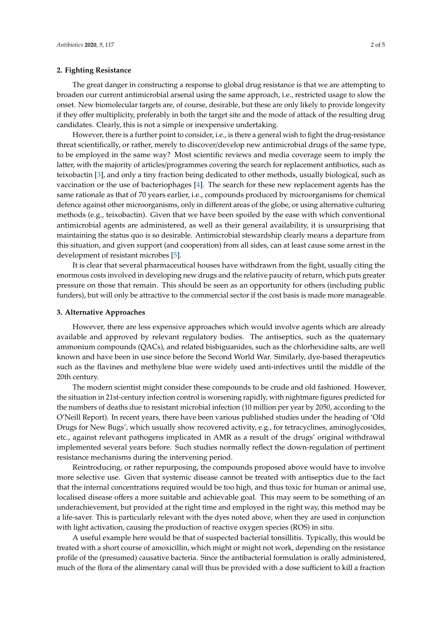#### **2. Fighting Resistance**

The great danger in constructing a response to global drug resistance is that we are attempting to broaden our current antimicrobial arsenal using the same approach, i.e., restricted usage to slow the onset. New biomolecular targets are, of course, desirable, but these are only likely to provide longevity if they offer multiplicity, preferably in both the target site and the mode of attack of the resulting drug candidates. Clearly, this is not a simple or inexpensive undertaking.

However, there is a further point to consider, i.e., is there a general wish to fight the drug-resistance threat scientifically, or rather, merely to discover/develop new antimicrobial drugs of the same type, to be employed in the same way? Most scientific reviews and media coverage seem to imply the latter, with the majority of articles/programmes covering the search for replacement antibiotics, such as teixobactin [\[3\]](#page-4-2), and only a tiny fraction being dedicated to other methods, usually biological, such as vaccination or the use of bacteriophages [\[4\]](#page-4-3). The search for these new replacement agents has the same rationale as that of 70 years earlier, i.e., compounds produced by microorganisms for chemical defence against other microorganisms, only in different areas of the globe, or using alternative culturing methods (e.g., teixobactin). Given that we have been spoiled by the ease with which conventional antimicrobial agents are administered, as well as their general availability, it is unsurprising that maintaining the status quo is so desirable. Antimicrobial stewardship clearly means a departure from this situation, and given support (and cooperation) from all sides, can at least cause some arrest in the development of resistant microbes [\[5\]](#page-4-4).

It is clear that several pharmaceutical houses have withdrawn from the fight, usually citing the enormous costs involved in developing new drugs and the relative paucity of return, which puts greater pressure on those that remain. This should be seen as an opportunity for others (including public funders), but will only be attractive to the commercial sector if the cost basis is made more manageable.

### **3. Alternative Approaches**

However, there are less expensive approaches which would involve agents which are already available and approved by relevant regulatory bodies. The antiseptics, such as the quaternary ammonium compounds (QACs), and related bisbiguanides, such as the chlorhexidine salts, are well known and have been in use since before the Second World War. Similarly, dye-based therapeutics such as the flavines and methylene blue were widely used anti-infectives until the middle of the 20th century.

The modern scientist might consider these compounds to be crude and old fashioned. However, the situation in 21st-century infection control is worsening rapidly, with nightmare figures predicted for the numbers of deaths due to resistant microbial infection (10 million per year by 2050, according to the O'Neill Report). In recent years, there have been various published studies under the heading of 'Old Drugs for New Bugs', which usually show recovered activity, e.g., for tetracyclines, aminoglycosides, etc., against relevant pathogens implicated in AMR as a result of the drugs' original withdrawal implemented several years before. Such studies normally reflect the down-regulation of pertinent resistance mechanisms during the intervening period.

Reintroducing, or rather repurposing, the compounds proposed above would have to involve more selective use. Given that systemic disease cannot be treated with antiseptics due to the fact that the internal concentrations required would be too high, and thus toxic for human or animal use, localised disease offers a more suitable and achievable goal. This may seem to be something of an underachievement, but provided at the right time and employed in the right way, this method may be a life-saver. This is particularly relevant with the dyes noted above, when they are used in conjunction with light activation, causing the production of reactive oxygen species (ROS) in situ.

A useful example here would be that of suspected bacterial tonsillitis. Typically, this would be treated with a short course of amoxicillin, which might or might not work, depending on the resistance profile of the (presumed) causative bacteria. Since the antibacterial formulation is orally administered, much of the flora of the alimentary canal will thus be provided with a dose sufficient to kill a fraction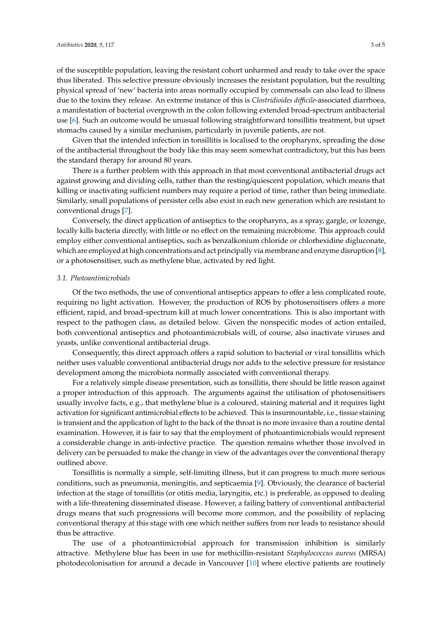of the susceptible population, leaving the resistant cohort unharmed and ready to take over the space thus liberated. This selective pressure obviously increases the resistant population, but the resulting physical spread of 'new' bacteria into areas normally occupied by commensals can also lead to illness due to the toxins they release. An extreme instance of this is *Clostridioides di*ffi*cile*-associated diarrhoea, a manifestation of bacterial overgrowth in the colon following extended broad-spectrum antibacterial use [\[6\]](#page-4-5). Such an outcome would be unusual following straightforward tonsillitis treatment, but upset stomachs caused by a similar mechanism, particularly in juvenile patients, are not.

Given that the intended infection in tonsillitis is localised to the oropharynx, spreading the dose of the antibacterial throughout the body like this may seem somewhat contradictory, but this has been the standard therapy for around 80 years.

There is a further problem with this approach in that most conventional antibacterial drugs act against growing and dividing cells, rather than the resting/quiescent population, which means that killing or inactivating sufficient numbers may require a period of time, rather than being immediate. Similarly, small populations of persister cells also exist in each new generation which are resistant to conventional drugs [\[7\]](#page-4-6).

Conversely, the direct application of antiseptics to the oropharynx, as a spray, gargle, or lozenge, locally kills bacteria directly, with little or no effect on the remaining microbiome. This approach could employ either conventional antiseptics, such as benzalkonium chloride or chlorhexidine digluconate, which are employed at high concentrations and act principally via membrane and enzyme disruption [\[8\]](#page-5-0), or a photosensitiser, such as methylene blue, activated by red light.

#### *3.1. Photoantimicrobials*

Of the two methods, the use of conventional antiseptics appears to offer a less complicated route, requiring no light activation. However, the production of ROS by photosensitisers offers a more efficient, rapid, and broad-spectrum kill at much lower concentrations. This is also important with respect to the pathogen class, as detailed below. Given the nonspecific modes of action entailed, both conventional antiseptics and photoantimicrobials will, of course, also inactivate viruses and yeasts, unlike conventional antibacterial drugs.

Consequently, this direct approach offers a rapid solution to bacterial or viral tonsillitis which neither uses valuable conventional antibacterial drugs nor adds to the selective pressure for resistance development among the microbiota normally associated with conventional therapy.

For a relatively simple disease presentation, such as tonsillitis, there should be little reason against a proper introduction of this approach. The arguments against the utilisation of photosensitisers usually involve facts, e.g., that methylene blue is a coloured, staining material and it requires light activation for significant antimicrobial effects to be achieved. This is insurmountable, i.e., tissue staining is transient and the application of light to the back of the throat is no more invasive than a routine dental examination. However, it is fair to say that the employment of photoantimicrobials would represent a considerable change in anti-infective practice. The question remains whether those involved in delivery can be persuaded to make the change in view of the advantages over the conventional therapy outlined above.

Tonsillitis is normally a simple, self-limiting illness, but it can progress to much more serious conditions, such as pneumonia, meningitis, and septicaemia [\[9\]](#page-5-1). Obviously, the clearance of bacterial infection at the stage of tonsillitis (or otitis media, laryngitis, etc.) is preferable, as opposed to dealing with a life-threatening disseminated disease. However, a failing battery of conventional antibacterial drugs means that such progressions will become more common, and the possibility of replacing conventional therapy at this stage with one which neither suffers from nor leads to resistance should thus be attractive.

The use of a photoantimicrobial approach for transmission inhibition is similarly attractive. Methylene blue has been in use for methicillin-resistant *Staphylococcus aureus* (MRSA) photodecolonisation for around a decade in Vancouver [\[10\]](#page-5-2) where elective patients are routinely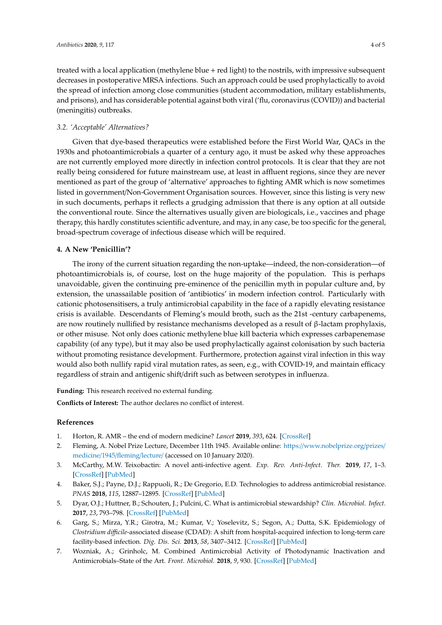treated with a local application (methylene blue + red light) to the nostrils, with impressive subsequent decreases in postoperative MRSA infections. Such an approach could be used prophylactically to avoid the spread of infection among close communities (student accommodation, military establishments, and prisons), and has considerable potential against both viral ('flu, coronavirus (COVID)) and bacterial (meningitis) outbreaks.

#### *3.2. 'Acceptable' Alternatives?*

Given that dye-based therapeutics were established before the First World War, QACs in the 1930s and photoantimicrobials a quarter of a century ago, it must be asked why these approaches are not currently employed more directly in infection control protocols. It is clear that they are not really being considered for future mainstream use, at least in affluent regions, since they are never mentioned as part of the group of 'alternative' approaches to fighting AMR which is now sometimes listed in government/Non-Government Organisation sources. However, since this listing is very new in such documents, perhaps it reflects a grudging admission that there is any option at all outside the conventional route. Since the alternatives usually given are biologicals, i.e., vaccines and phage therapy, this hardly constitutes scientific adventure, and may, in any case, be too specific for the general, broad-spectrum coverage of infectious disease which will be required.

#### **4. A New 'Penicillin'?**

The irony of the current situation regarding the non-uptake—indeed, the non-consideration—of photoantimicrobials is, of course, lost on the huge majority of the population. This is perhaps unavoidable, given the continuing pre-eminence of the penicillin myth in popular culture and, by extension, the unassailable position of 'antibiotics' in modern infection control. Particularly with cationic photosensitisers, a truly antimicrobial capability in the face of a rapidly elevating resistance crisis is available. Descendants of Fleming's mould broth, such as the 21st -century carbapenems, are now routinely nullified by resistance mechanisms developed as a result of  $\beta$ -lactam prophylaxis, or other misuse. Not only does cationic methylene blue kill bacteria which expresses carbapenemase capability (of any type), but it may also be used prophylactically against colonisation by such bacteria without promoting resistance development. Furthermore, protection against viral infection in this way would also both nullify rapid viral mutation rates, as seen, e.g., with COVID-19, and maintain efficacy regardless of strain and antigenic shift/drift such as between serotypes in influenza.

**Funding:** This research received no external funding.

**Conflicts of Interest:** The author declares no conflict of interest.

#### **References**

- <span id="page-4-0"></span>1. Horton, R. AMR – the end of modern medicine? *Lancet* **2019**, *393*, 624. [\[CrossRef\]](http://dx.doi.org/10.1016/S0140-6736(19)30367-8)
- <span id="page-4-1"></span>2. Fleming, A. Nobel Prize Lecture, December 11th 1945. Available online: https://[www.nobelprize.org](https://www.nobelprize.org/prizes/medicine/1945/fleming/lecture/)/prizes/ [medicine](https://www.nobelprize.org/prizes/medicine/1945/fleming/lecture/)/1945/fleming/lecture/ (accessed on 10 January 2020).
- <span id="page-4-2"></span>3. McCarthy, M.W. Teixobactin: A novel anti-infective agent. *Exp. Rev. Anti-Infect. Ther.* **2019**, *17*, 1–3. [\[CrossRef\]](http://dx.doi.org/10.1080/14787210.2019.1550357) [\[PubMed\]](http://www.ncbi.nlm.nih.gov/pubmed/30449226)
- <span id="page-4-3"></span>4. Baker, S.J.; Payne, D.J.; Rappuoli, R.; De Gregorio, E.D. Technologies to address antimicrobial resistance. *PNAS* **2018**, *115*, 12887–12895. [\[CrossRef\]](http://dx.doi.org/10.1073/pnas.1717160115) [\[PubMed\]](http://www.ncbi.nlm.nih.gov/pubmed/30559181)
- <span id="page-4-4"></span>5. Dyar, O.J.; Huttner, B.; Schouten, J.; Pulcini, C. What is antimicrobial stewardship? *Clin. Microbiol. Infect.* **2017**, *23*, 793–798. [\[CrossRef\]](http://dx.doi.org/10.1016/j.cmi.2017.08.026) [\[PubMed\]](http://www.ncbi.nlm.nih.gov/pubmed/28882725)
- <span id="page-4-5"></span>6. Garg, S.; Mirza, Y.R.; Girotra, M.; Kumar, V.; Yoselevitz, S.; Segon, A.; Dutta, S.K. Epidemiology of *Clostridium di*ffi*cile*-associated disease (CDAD): A shift from hospital-acquired infection to long-term care facility-based infection. *Dig. Dis. Sci.* **2013**, *58*, 3407–3412. [\[CrossRef\]](http://dx.doi.org/10.1007/s10620-013-2848-x) [\[PubMed\]](http://www.ncbi.nlm.nih.gov/pubmed/24154638)
- <span id="page-4-6"></span>7. Wozniak, A.; Grinholc, M. Combined Antimicrobial Activity of Photodynamic Inactivation and Antimicrobials–State of the Art. *Front. Microbiol.* **2018**, *9*, 930. [\[CrossRef\]](http://dx.doi.org/10.3389/fmicb.2018.00930) [\[PubMed\]](http://www.ncbi.nlm.nih.gov/pubmed/29867839)